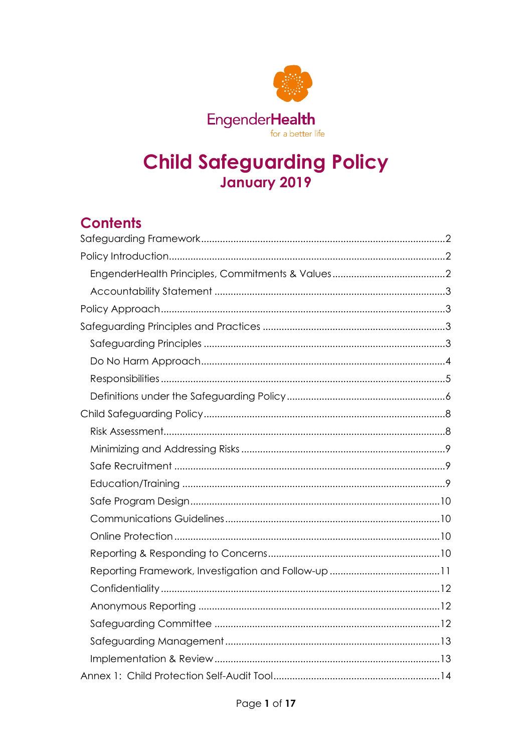

# **Child Safeguarding Policy** January 2019

## **Contents**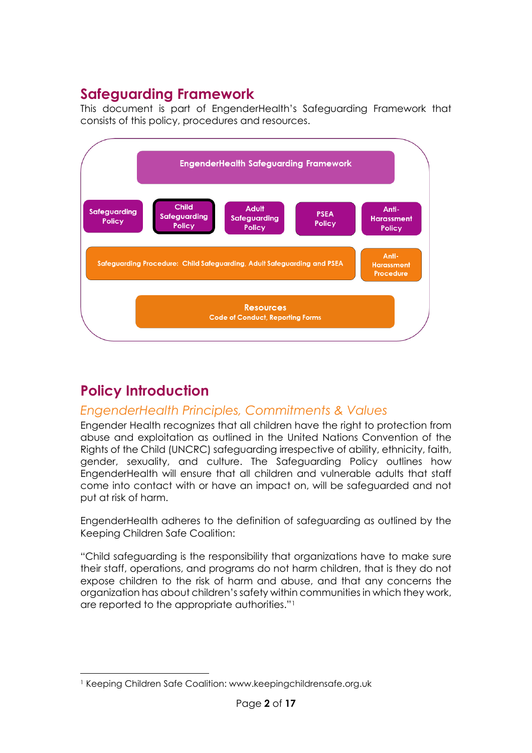## <span id="page-1-0"></span>**Safeguarding Framework**

This document is part of EngenderHealth's Safeguarding Framework that consists of this policy, procedures and resources.



# <span id="page-1-1"></span>**Policy Introduction**

### <span id="page-1-2"></span>*EngenderHealth Principles, Commitments & Values*

Engender Health recognizes that all children have the right to protection from abuse and exploitation as outlined in the United Nations Convention of the Rights of the Child (UNCRC) safeguarding irrespective of ability, ethnicity, faith, gender, sexuality, and culture. The Safeguarding Policy outlines how EngenderHealth will ensure that all children and vulnerable adults that staff come into contact with or have an impact on, will be safeguarded and not put at risk of harm.

EngenderHealth adheres to the definition of safeguarding as outlined by the Keeping Children Safe Coalition:

"Child safeguarding is the responsibility that organizations have to make sure their staff, operations, and programs do not harm children, that is they do not expose children to the risk of harm and abuse, and that any concerns the organization has about children's safety within communities in which they work, are reported to the appropriate authorities."[1](#page-1-3)

<span id="page-1-3"></span> <sup>1</sup> Keeping Children Safe Coalition: www.keepingchildrensafe.org.uk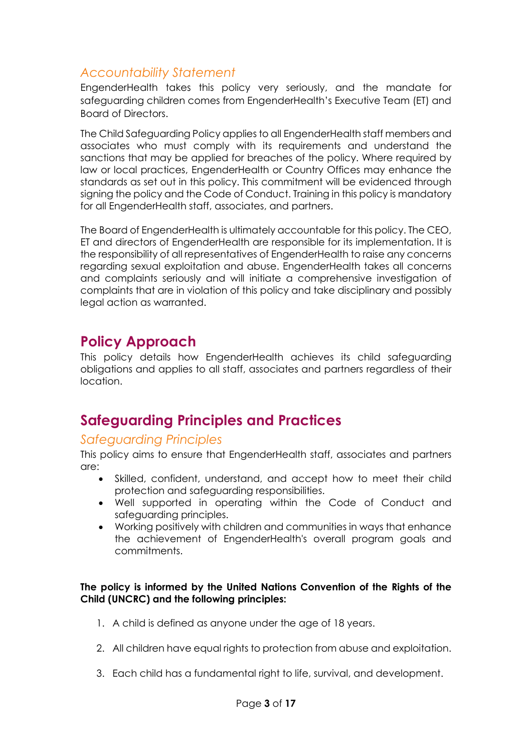#### <span id="page-2-0"></span>*Accountability Statement*

EngenderHealth takes this policy very seriously, and the mandate for safeguarding children comes from EngenderHealth's Executive Team (ET) and Board of Directors.

The Child Safeguarding Policy applies to all EngenderHealth staff members and associates who must comply with its requirements and understand the sanctions that may be applied for breaches of the policy. Where required by law or local practices, EngenderHealth or Country Offices may enhance the standards as set out in this policy. This commitment will be evidenced through signing the policy and the Code of Conduct. Training in this policy is mandatory for all EngenderHealth staff, associates, and partners.

The Board of EngenderHealth is ultimately accountable for this policy. The CEO, ET and directors of EngenderHealth are responsible for its implementation. It is the responsibility of all representatives of EngenderHealth to raise any concerns regarding sexual exploitation and abuse. EngenderHealth takes all concerns and complaints seriously and will initiate a comprehensive investigation of complaints that are in violation of this policy and take disciplinary and possibly legal action as warranted.

### <span id="page-2-1"></span>**Policy Approach**

This policy details how EngenderHealth achieves its child safeguarding obligations and applies to all staff, associates and partners regardless of their location.

## <span id="page-2-2"></span>**Safeguarding Principles and Practices**

#### <span id="page-2-3"></span>*Safeguarding Principles*

This policy aims to ensure that EngenderHealth staff, associates and partners are:

- Skilled, confident, understand, and accept how to meet their child protection and safeguarding responsibilities.
- Well supported in operating within the Code of Conduct and safeguarding principles.
- Working positively with children and communities in ways that enhance the achievement of EngenderHealth's overall program goals and commitments.

#### **The policy is informed by the United Nations Convention of the Rights of the Child (UNCRC) and the following principles:**

- 1. A child is defined as anyone under the age of 18 years.
- 2. All children have equal rights to protection from abuse and exploitation.
- 3. Each child has a fundamental right to life, survival, and development.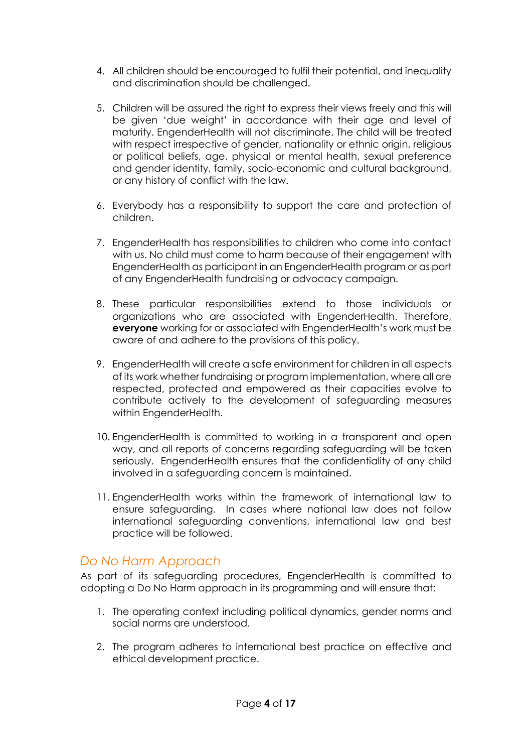- 4. All children should be encouraged to fulfil their potential, and inequality and discrimination should be challenged.
- 5. Children will be assured the right to express their views freely and this will be given 'due weight' in accordance with their age and level of maturity. EngenderHealth will not discriminate. The child will be treated with respect irrespective of gender, nationality or ethnic origin, religious or political beliefs, age, physical or mental health, sexual preference and gender identity, family, socio-economic and cultural background, or any history of conflict with the law.
- 6. Everybody has a responsibility to support the care and protection of children.
- 7. EngenderHealth has responsibilities to children who come into contact with us. No child must come to harm because of their engagement with EngenderHealth as participant in an EngenderHealth program or as part of any EngenderHealth fundraising or advocacy campaign.
- 8. These particular responsibilities extend to those individuals or organizations who are associated with EngenderHealth. Therefore, **everyone** working for or associated with EngenderHealth's work must be aware of and adhere to the provisions of this policy.
- 9. EngenderHealth will create a safe environment for children in all aspects of its work whether fundraising or program implementation, where all are respected, protected and empowered as their capacities evolve to contribute actively to the development of safeguarding measures within EngenderHealth.
- 10. EngenderHealth is committed to working in a transparent and open way, and all reports of concerns regarding safeguarding will be taken seriously. EngenderHealth ensures that the confidentiality of any child involved in a safeguarding concern is maintained.
- 11. EngenderHealth works within the framework of international law to ensure safeguarding. In cases where national law does not follow international safeguarding conventions, international law and best practice will be followed.

#### <span id="page-3-0"></span>*Do No Harm Approach*

As part of its safeguarding procedures, EngenderHealth is committed to adopting a Do No Harm approach in its programming and will ensure that:

- 1. The operating context including political dynamics, gender norms and social norms are understood.
- 2. The program adheres to international best practice on effective and ethical development practice.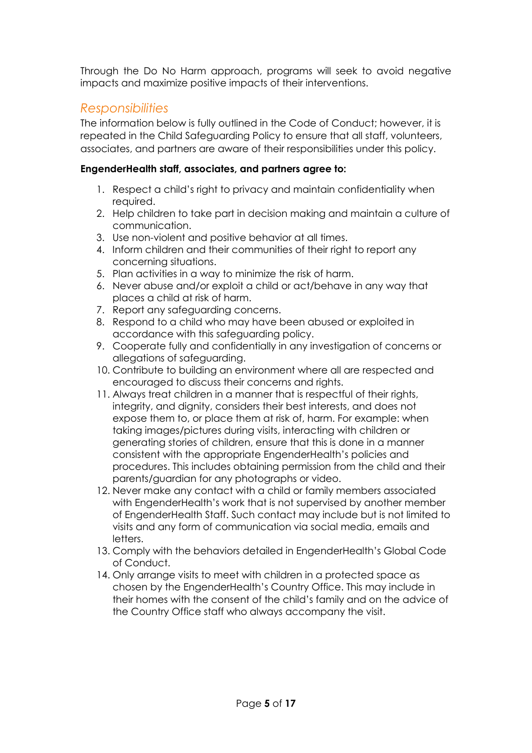Through the Do No Harm approach, programs will seek to avoid negative impacts and maximize positive impacts of their interventions.

#### <span id="page-4-0"></span>*Responsibilities*

The information below is fully outlined in the Code of Conduct; however, it is repeated in the Child Safeguarding Policy to ensure that all staff, volunteers, associates, and partners are aware of their responsibilities under this policy.

#### **EngenderHealth staff, associates, and partners agree to:**

- 1. Respect a child's right to privacy and maintain confidentiality when required.
- 2. Help children to take part in decision making and maintain a culture of communication.
- 3. Use non-violent and positive behavior at all times.
- 4. Inform children and their communities of their right to report any concerning situations.
- 5. Plan activities in a way to minimize the risk of harm.
- 6. Never abuse and/or exploit a child or act/behave in any way that places a child at risk of harm.
- 7. Report any safeguarding concerns.
- 8. Respond to a child who may have been abused or exploited in accordance with this safeguarding policy.
- 9. Cooperate fully and confidentially in any investigation of concerns or allegations of safeguarding.
- 10. Contribute to building an environment where all are respected and encouraged to discuss their concerns and rights.
- 11. Always treat children in a manner that is respectful of their rights, integrity, and dignity, considers their best interests, and does not expose them to, or place them at risk of, harm. For example: when taking images/pictures during visits, interacting with children or generating stories of children, ensure that this is done in a manner consistent with the appropriate EngenderHealth's policies and procedures. This includes obtaining permission from the child and their parents/guardian for any photographs or video.
- 12. Never make any contact with a child or family members associated with EngenderHealth's work that is not supervised by another member of EngenderHealth Staff. Such contact may include but is not limited to visits and any form of communication via social media, emails and letters.
- 13. Comply with the behaviors detailed in EngenderHealth's Global Code of Conduct.
- 14. Only arrange visits to meet with children in a protected space as chosen by the EngenderHealth's Country Office. This may include in their homes with the consent of the child's family and on the advice of the Country Office staff who always accompany the visit.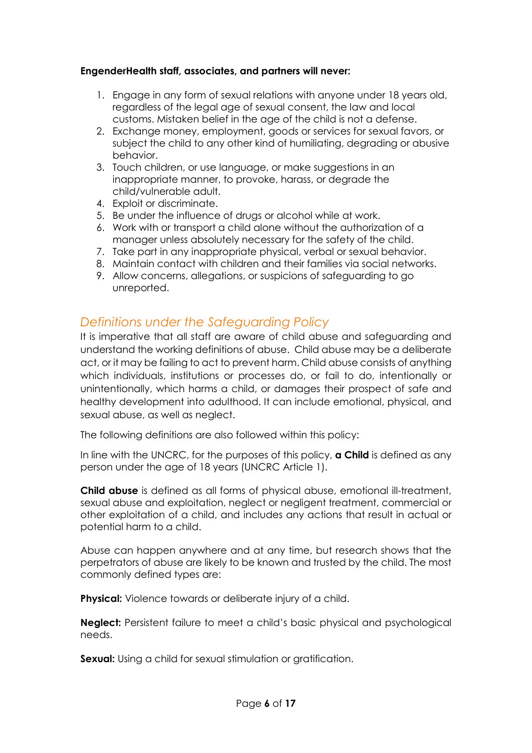#### **EngenderHealth staff, associates, and partners will never:**

- 1. Engage in any form of sexual relations with anyone under 18 years old, regardless of the legal age of sexual consent, the law and local customs. Mistaken belief in the age of the child is not a defense.
- 2. Exchange money, employment, goods or services for sexual favors, or subject the child to any other kind of humiliating, degrading or abusive behavior.
- 3. Touch children, or use language, or make suggestions in an inappropriate manner, to provoke, harass, or degrade the child/vulnerable adult.
- 4. Exploit or discriminate.
- 5. Be under the influence of drugs or alcohol while at work.
- 6. Work with or transport a child alone without the authorization of a manager unless absolutely necessary for the safety of the child.
- 7. Take part in any inappropriate physical, verbal or sexual behavior.
- 8. Maintain contact with children and their families via social networks.
- 9. Allow concerns, allegations, or suspicions of safeguarding to go unreported.

#### <span id="page-5-0"></span>*Definitions under the Safeguarding Policy*

It is imperative that all staff are aware of child abuse and safeguarding and understand the working definitions of abuse. Child abuse may be a deliberate act, or it may be failing to act to prevent harm. Child abuse consists of anything which individuals, institutions or processes do, or fail to do, intentionally or unintentionally, which harms a child, or damages their prospect of safe and healthy development into adulthood. It can include emotional, physical, and sexual abuse, as well as neglect.

The following definitions are also followed within this policy:

In line with the UNCRC, for the purposes of this policy, **a Child** is defined as any person under the age of 18 years (UNCRC Article 1).

**Child abuse** is defined as all forms of physical abuse, emotional ill-treatment, sexual abuse and exploitation, neglect or negligent treatment, commercial or other exploitation of a child, and includes any actions that result in actual or potential harm to a child.

Abuse can happen anywhere and at any time, but research shows that the perpetrators of abuse are likely to be known and trusted by the child. The most commonly defined types are:

**Physical:** Violence towards or deliberate injury of a child.

**Neglect:** Persistent failure to meet a child's basic physical and psychological needs.

**Sexual:** Using a child for sexual stimulation or gratification.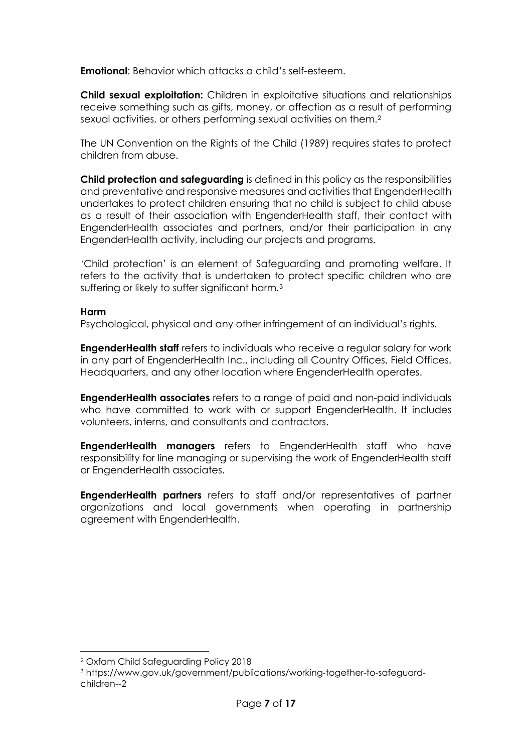**Emotional**: Behavior which attacks a child's self-esteem.

**Child sexual exploitation:** Children in exploitative situations and relationships receive something such as gifts, money, or affection as a result of performing sexual activities, or others performing sexual activities on them.<sup>[2](#page-6-0)</sup>

The UN Convention on the Rights of the Child (1989) requires states to protect children from abuse.

**Child protection and safeguarding** is defined in this policy as the responsibilities and preventative and responsive measures and activities that EngenderHealth undertakes to protect children ensuring that no child is subject to child abuse as a result of their association with EngenderHealth staff, their contact with EngenderHealth associates and partners, and/or their participation in any EngenderHealth activity, including our projects and programs.

'Child protection' is an element of Safeguarding and promoting welfare. It refers to the activity that is undertaken to protect specific children who are suffering or likely to suffer significant harm.<sup>[3](#page-6-1)</sup>

#### **Harm**

Psychological, physical and any other infringement of an individual's rights.

**EngenderHealth staff** refers to individuals who receive a regular salary for work in any part of EngenderHealth Inc., including all Country Offices, Field Offices, Headquarters, and any other location where EngenderHealth operates.

**EngenderHealth associates** refers to a range of paid and non-paid individuals who have committed to work with or support EngenderHealth. It includes volunteers, interns, and consultants and contractors.

**EngenderHealth managers** refers to EngenderHealth staff who have responsibility for line managing or supervising the work of EngenderHealth staff or EngenderHealth associates.

**EngenderHealth partners** refers to staff and/or representatives of partner organizations and local governments when operating in partnership agreement with EngenderHealth.

<span id="page-6-0"></span> <sup>2</sup> Oxfam Child Safeguarding Policy 2018

<span id="page-6-1"></span><sup>3</sup> https://www.gov.uk/government/publications/working-together-to-safeguardchildren--2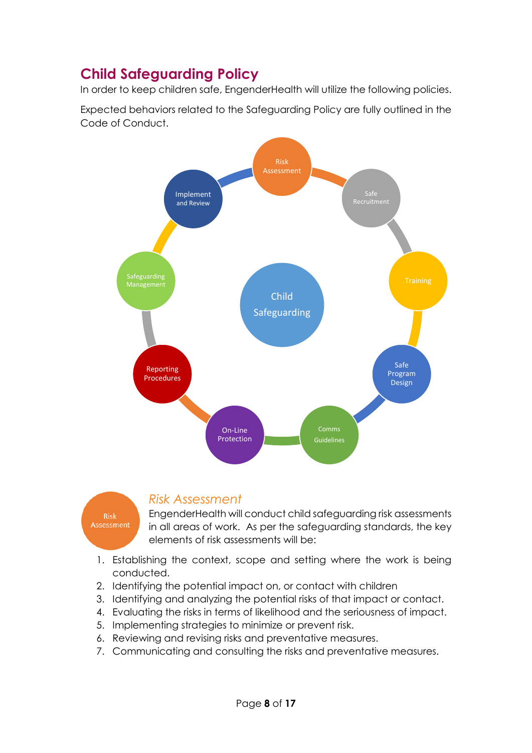## <span id="page-7-0"></span>**Child Safeguarding Policy**

In order to keep children safe, EngenderHealth will utilize the following policies.

Expected behaviors related to the Safeguarding Policy are fully outlined in the Code of Conduct.



**Risk** Assessment

#### <span id="page-7-1"></span>*Risk Assessment*

EngenderHealth will conduct child safeguarding risk assessments in all areas of work. As per the safeguarding standards, the key elements of risk assessments will be:

- 1. Establishing the context, scope and setting where the work is being conducted.
- 2. Identifying the potential impact on, or contact with children
- 3. Identifying and analyzing the potential risks of that impact or contact.
- 4. Evaluating the risks in terms of likelihood and the seriousness of impact.
- 5. Implementing strategies to minimize or prevent risk.
- 6. Reviewing and revising risks and preventative measures.
- 7. Communicating and consulting the risks and preventative measures.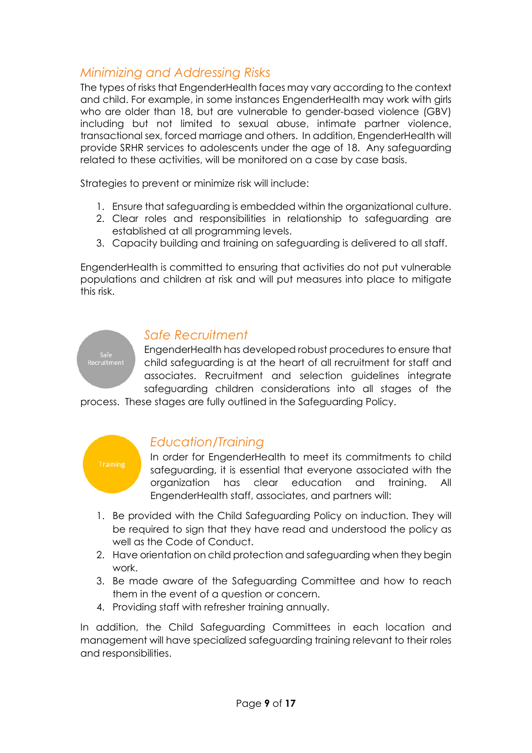### <span id="page-8-0"></span>*Minimizing and Addressing Risks*

The types of risks that EngenderHealth faces may vary according to the context and child. For example, in some instances EngenderHealth may work with girls who are older than 18, but are vulnerable to gender-based violence (GBV) including but not limited to sexual abuse, intimate partner violence, transactional sex, forced marriage and others. In addition, EngenderHealth will provide SRHR services to adolescents under the age of 18. Any safeguarding related to these activities, will be monitored on a case by case basis.

Strategies to prevent or minimize risk will include:

- 1. Ensure that safeguarding is embedded within the organizational culture.
- 2. Clear roles and responsibilities in relationship to safeguarding are established at all programming levels.
- 3. Capacity building and training on safeguarding is delivered to all staff.

EngenderHealth is committed to ensuring that activities do not put vulnerable populations and children at risk and will put measures into place to mitigate this risk.

#### <span id="page-8-1"></span>*Safe Recruitment*

EngenderHealth has developed robust procedures to ensure that child safeguarding is at the heart of all recruitment for staff and associates. Recruitment and selection guidelines integrate safeguarding children considerations into all stages of the

process. These stages are fully outlined in the Safeguarding Policy.



#### <span id="page-8-2"></span>*Education/Training*

In order for EngenderHealth to meet its commitments to child safeguarding, it is essential that everyone associated with the organization has clear education and training. All EngenderHealth staff, associates, and partners will:

- 1. Be provided with the Child Safeguarding Policy on induction. They will be required to sign that they have read and understood the policy as well as the Code of Conduct.
- 2. Have orientation on child protection and safeguarding when they begin work.
- 3. Be made aware of the Safeguarding Committee and how to reach them in the event of a question or concern.
- 4. Providing staff with refresher training annually.

In addition, the Child Safeguarding Committees in each location and management will have specialized safeguarding training relevant to their roles and responsibilities.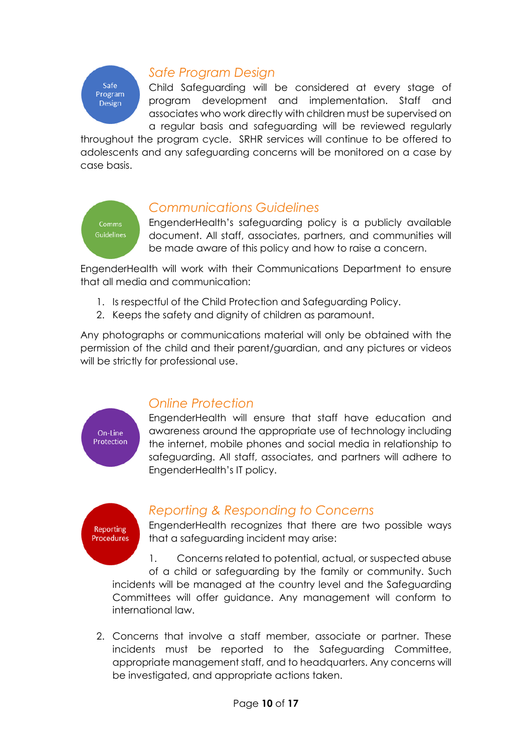## Safe Program **Design**

### <span id="page-9-0"></span>*Safe Program Design*

Child Safeguarding will be considered at every stage of program development and implementation. Staff and associates who work directly with children must be supervised on a regular basis and safeguarding will be reviewed regularly

throughout the program cycle. SRHR services will continue to be offered to adolescents and any safeguarding concerns will be monitored on a case by case basis.



#### <span id="page-9-1"></span>*Communications Guidelines*

EngenderHealth's safeguarding policy is a publicly available document. All staff, associates, partners, and communities will be made aware of this policy and how to raise a concern.

EngenderHealth will work with their Communications Department to ensure that all media and communication:

- 1. Is respectful of the Child Protection and Safeguarding Policy.
- 2. Keeps the safety and dignity of children as paramount.

Any photographs or communications material will only be obtained with the permission of the child and their parent/guardian, and any pictures or videos will be strictly for professional use.



### <span id="page-9-2"></span>*Online Protection*

EngenderHealth will ensure that staff have education and awareness around the appropriate use of technology including the internet, mobile phones and social media in relationship to safeguarding. All staff, associates, and partners will adhere to EngenderHealth's IT policy.



#### <span id="page-9-3"></span>*Reporting & Responding to Concerns*

EngenderHealth recognizes that there are two possible ways that a safeguarding incident may arise:

1. Concerns related to potential, actual, or suspected abuse of a child or safeguarding by the family or community. Such incidents will be managed at the country level and the Safeguarding Committees will offer guidance. Any management will conform to international law.

2. Concerns that involve a staff member, associate or partner. These incidents must be reported to the Safeguarding Committee, appropriate management staff, and to headquarters. Any concerns will be investigated, and appropriate actions taken.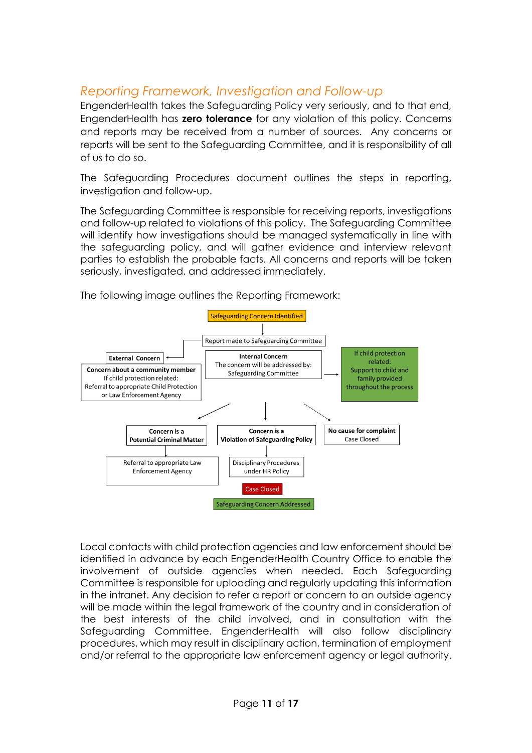### <span id="page-10-0"></span>*Reporting Framework, Investigation and Follow-up*

EngenderHealth takes the Safeguarding Policy very seriously, and to that end, EngenderHealth has **zero tolerance** for any violation of this policy. Concerns and reports may be received from a number of sources. Any concerns or reports will be sent to the Safeguarding Committee, and it is responsibility of all of us to do so.

The Safeguarding Procedures document outlines the steps in reporting, investigation and follow-up.

The Safeguarding Committee is responsible for receiving reports, investigations and follow-up related to violations of this policy. The Safeguarding Committee will identify how investigations should be managed systematically in line with the safeguarding policy, and will gather evidence and interview relevant parties to establish the probable facts. All concerns and reports will be taken seriously, investigated, and addressed immediately.



The following image outlines the Reporting Framework:

Local contacts with child protection agencies and law enforcement should be identified in advance by each EngenderHealth Country Office to enable the involvement of outside agencies when needed. Each Safeguarding Committee is responsible for uploading and regularly updating this information in the intranet. Any decision to refer a report or concern to an outside agency will be made within the legal framework of the country and in consideration of the best interests of the child involved, and in consultation with the Safeguarding Committee. EngenderHealth will also follow disciplinary procedures, which may result in disciplinary action, termination of employment and/or referral to the appropriate law enforcement agency or legal authority.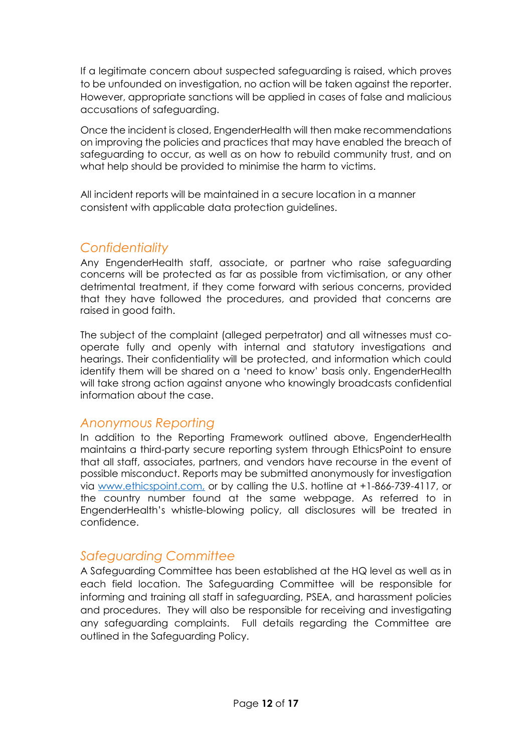If a legitimate concern about suspected safeguarding is raised, which proves to be unfounded on investigation, no action will be taken against the reporter. However, appropriate sanctions will be applied in cases of false and malicious accusations of safeguarding.

Once the incident is closed, EngenderHealth will then make recommendations on improving the policies and practices that may have enabled the breach of safeguarding to occur, as well as on how to rebuild community trust, and on what help should be provided to minimise the harm to victims.

All incident reports will be maintained in a secure location in a manner consistent with applicable data protection guidelines.

#### <span id="page-11-0"></span>*Confidentiality*

Any EngenderHealth staff, associate, or partner who raise safeguarding concerns will be protected as far as possible from victimisation, or any other detrimental treatment, if they come forward with serious concerns, provided that they have followed the procedures, and provided that concerns are raised in good faith.

The subject of the complaint (alleged perpetrator) and all witnesses must cooperate fully and openly with internal and statutory investigations and hearings. Their confidentiality will be protected, and information which could identify them will be shared on a 'need to know' basis only. EngenderHealth will take strong action against anyone who knowingly broadcasts confidential information about the case.

#### <span id="page-11-1"></span>*Anonymous Reporting*

In addition to the Reporting Framework outlined above, EngenderHealth maintains a third-party secure reporting system through EthicsPoint to ensure that all staff, associates, partners, and vendors have recourse in the event of possible misconduct. Reports may be submitted anonymously for investigation via [www.ethicspoint.com,](http://www.ethicspoint.com/) or by calling the U.S. hotline at +1-866-739-4117, or the country number found at the same webpage. As referred to in EngenderHealth's whistle-blowing policy, all disclosures will be treated in confidence.

#### <span id="page-11-2"></span>*Safeguarding Committee*

A Safeguarding Committee has been established at the HQ level as well as in each field location. The Safeguarding Committee will be responsible for informing and training all staff in safeguarding, PSEA, and harassment policies and procedures. They will also be responsible for receiving and investigating any safeguarding complaints. Full details regarding the Committee are outlined in the Safeguarding Policy.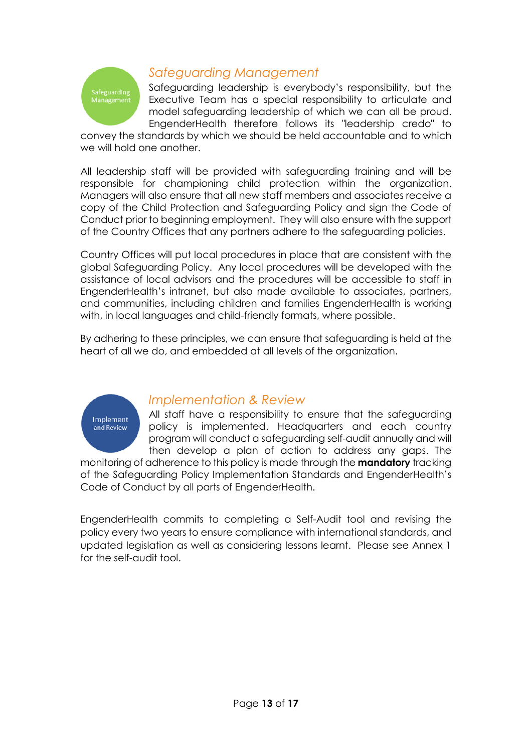

#### <span id="page-12-0"></span>*Safeguarding Management*

Safeguarding leadership is everybody's responsibility, but the Executive Team has a special responsibility to articulate and model safeguarding leadership of which we can all be proud. EngenderHealth therefore follows its "leadership credo" to

convey the standards by which we should be held accountable and to which we will hold one another.

All leadership staff will be provided with safeguarding training and will be responsible for championing child protection within the organization. Managers will also ensure that all new staff members and associates receive a copy of the Child Protection and Safeguarding Policy and sign the Code of Conduct prior to beginning employment. They will also ensure with the support of the Country Offices that any partners adhere to the safeguarding policies.

Country Offices will put local procedures in place that are consistent with the global Safeguarding Policy. Any local procedures will be developed with the assistance of local advisors and the procedures will be accessible to staff in EngenderHealth's intranet, but also made available to associates, partners, and communities, including children and families EngenderHealth is working with, in local languages and child-friendly formats, where possible.

By adhering to these principles, we can ensure that safeguarding is held at the heart of all we do, and embedded at all levels of the organization.



#### <span id="page-12-1"></span>*Implementation & Review*

All staff have a responsibility to ensure that the safeguarding policy is implemented. Headquarters and each country program will conduct a safeguarding self-audit annually and will then develop a plan of action to address any gaps. The

monitoring of adherence to this policy is made through the **mandatory** tracking of the Safeguarding Policy Implementation Standards and EngenderHealth's Code of Conduct by all parts of EngenderHealth.

EngenderHealth commits to completing a Self-Audit tool and revising the policy every two years to ensure compliance with international standards, and updated legislation as well as considering lessons learnt. Please see Annex 1 for the self-audit tool.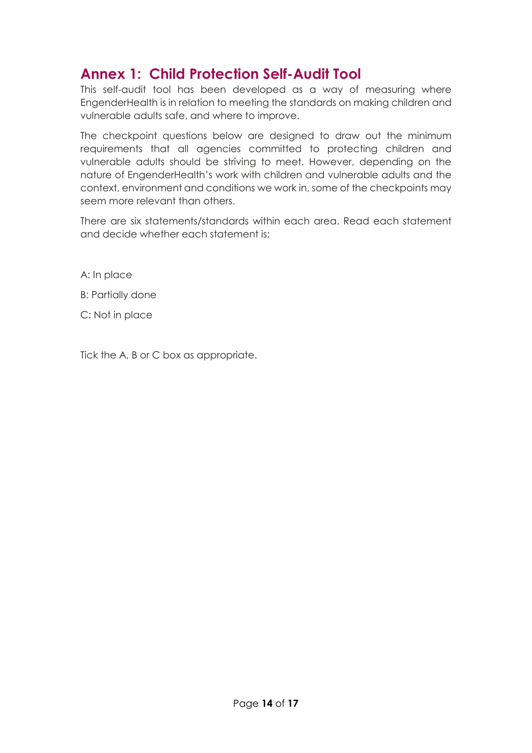## <span id="page-13-0"></span>**Annex 1: Child Protection Self-Audit Tool**

This self-audit tool has been developed as a way of measuring where EngenderHealth is in relation to meeting the standards on making children and vulnerable adults safe, and where to improve.

The checkpoint questions below are designed to draw out the minimum requirements that all agencies committed to protecting children and vulnerable adults should be striving to meet. However, depending on the nature of EngenderHealth's work with children and vulnerable adults and the context, environment and conditions we work in, some of the checkpoints may seem more relevant than others.

There are six statements/standards within each area. Read each statement and decide whether each statement is:

A: In place

B: Partially done

C: Not in place

Tick the A, B or C box as appropriate.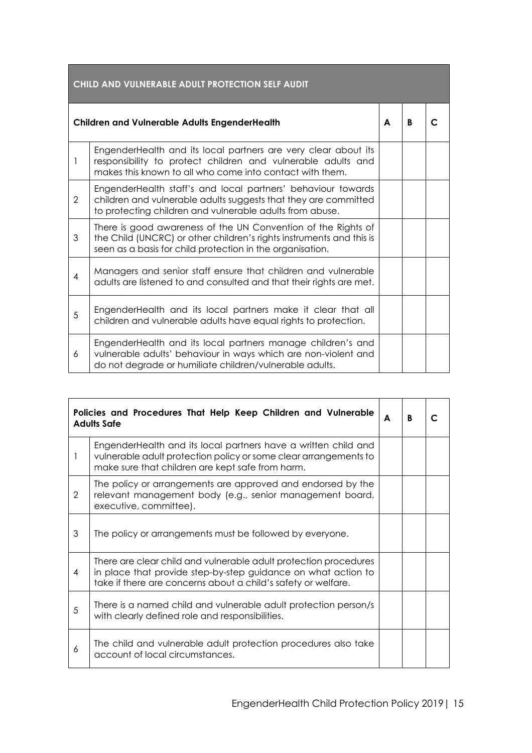| CHILD AND VULNERABLE ADULT PROTECTION SELF AUDIT     |                                                                                                                                                                                                    |  |   |  |
|------------------------------------------------------|----------------------------------------------------------------------------------------------------------------------------------------------------------------------------------------------------|--|---|--|
| <b>Children and Vulnerable Adults EngenderHealth</b> |                                                                                                                                                                                                    |  | B |  |
| 1                                                    | EngenderHealth and its local partners are very clear about its<br>responsibility to protect children and vulnerable adults and<br>makes this known to all who come into contact with them.         |  |   |  |
| $\overline{2}$                                       | EngenderHealth staff's and local partners' behaviour towards<br>children and vulnerable adults suggests that they are committed<br>to protecting children and vulnerable adults from abuse.        |  |   |  |
| 3                                                    | There is good awareness of the UN Convention of the Rights of<br>the Child (UNCRC) or other children's rights instruments and this is<br>seen as a basis for child protection in the organisation. |  |   |  |
| 4                                                    | Managers and senior staff ensure that children and vulnerable<br>adults are listened to and consulted and that their rights are met.                                                               |  |   |  |
| 5                                                    | EngenderHealth and its local partners make it clear that all<br>children and vulnerable adults have equal rights to protection.                                                                    |  |   |  |
| 6                                                    | EngenderHealth and its local partners manage children's and<br>vulnerable adults' behaviour in ways which are non-violent and<br>do not degrade or humiliate children/vulnerable adults.           |  |   |  |

|   | Policies and Procedures That Help Keep Children and Vulnerable<br><b>Adults Safe</b>                                                                                                               | A | B |  |
|---|----------------------------------------------------------------------------------------------------------------------------------------------------------------------------------------------------|---|---|--|
|   | EngenderHealth and its local partners have a written child and<br>vulnerable adult protection policy or some clear arrangements to<br>make sure that children are kept safe from harm.             |   |   |  |
| 2 | The policy or arrangements are approved and endorsed by the<br>relevant management body (e.g., senior management board,<br>executive, committee).                                                  |   |   |  |
| 3 | The policy or arrangements must be followed by everyone.                                                                                                                                           |   |   |  |
| 4 | There are clear child and vulnerable adult protection procedures<br>in place that provide step-by-step guidance on what action to<br>take if there are concerns about a child's safety or welfare. |   |   |  |
| 5 | There is a named child and vulnerable adult protection person/s<br>with clearly defined role and responsibilities.                                                                                 |   |   |  |
| 6 | The child and vulnerable adult protection procedures also take<br>account of local circumstances.                                                                                                  |   |   |  |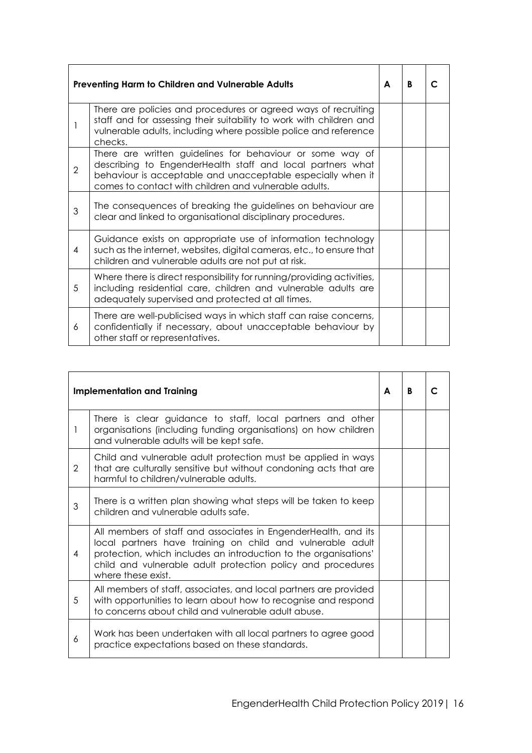|                | Preventing Harm to Children and Vulnerable Adults                                                                                                                                                                                               | A | B |  |
|----------------|-------------------------------------------------------------------------------------------------------------------------------------------------------------------------------------------------------------------------------------------------|---|---|--|
|                | There are policies and procedures or agreed ways of recruiting<br>staff and for assessing their suitability to work with children and<br>vulnerable adults, including where possible police and reference<br>checks.                            |   |   |  |
| $\overline{2}$ | There are written guidelines for behaviour or some way of<br>describing to EngenderHealth staff and local partners what<br>behaviour is acceptable and unacceptable especially when it<br>comes to contact with children and vulnerable adults. |   |   |  |
| 3              | The consequences of breaking the guidelines on behaviour are<br>clear and linked to organisational disciplinary procedures.                                                                                                                     |   |   |  |
| 4              | Guidance exists on appropriate use of information technology<br>such as the internet, websites, digital cameras, etc., to ensure that<br>children and vulnerable adults are not put at risk.                                                    |   |   |  |
| 5              | Where there is direct responsibility for running/providing activities,<br>including residential care, children and vulnerable adults are<br>adequately supervised and protected at all times.                                                   |   |   |  |
| 6              | There are well-publicised ways in which staff can raise concerns,<br>confidentially if necessary, about unacceptable behaviour by<br>other staff or representatives.                                                                            |   |   |  |

|                | <b>Implementation and Training</b>                                                                                                                                                                                                                                                    | A | B |  |
|----------------|---------------------------------------------------------------------------------------------------------------------------------------------------------------------------------------------------------------------------------------------------------------------------------------|---|---|--|
| 1              | There is clear guidance to staff, local partners and other<br>organisations (including funding organisations) on how children<br>and vulnerable adults will be kept safe.                                                                                                             |   |   |  |
| $\overline{2}$ | Child and vulnerable adult protection must be applied in ways<br>that are culturally sensitive but without condoning acts that are<br>harmful to children/vulnerable adults.                                                                                                          |   |   |  |
| 3              | There is a written plan showing what steps will be taken to keep<br>children and vulnerable adults safe.                                                                                                                                                                              |   |   |  |
| 4              | All members of staff and associates in EngenderHealth, and its<br>local partners have training on child and vulnerable adult<br>protection, which includes an introduction to the organisations'<br>child and vulnerable adult protection policy and procedures<br>where these exist. |   |   |  |
| 5              | All members of staff, associates, and local partners are provided<br>with opportunities to learn about how to recognise and respond<br>to concerns about child and vulnerable adult abuse.                                                                                            |   |   |  |
| 6              | Work has been undertaken with all local partners to agree good<br>practice expectations based on these standards.                                                                                                                                                                     |   |   |  |